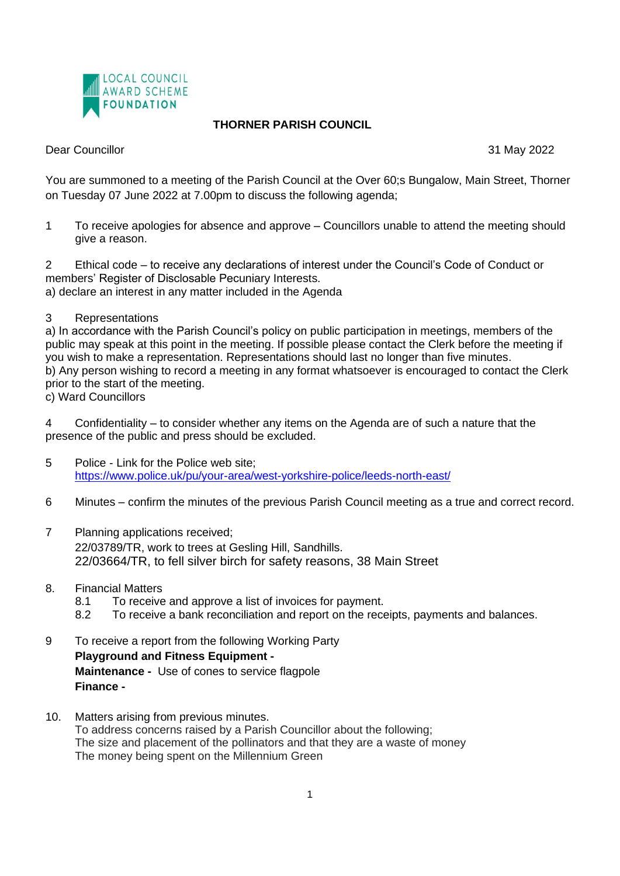

## **THORNER PARISH COUNCIL**

Dear Councillor 31 May 2022

You are summoned to a meeting of the Parish Council at the Over 60;s Bungalow, Main Street, Thorner on Tuesday 07 June 2022 at 7.00pm to discuss the following agenda;

1 To receive apologies for absence and approve – Councillors unable to attend the meeting should give a reason.

2 Ethical code – to receive any declarations of interest under the Council's Code of Conduct or members' Register of Disclosable Pecuniary Interests. a) declare an interest in any matter included in the Agenda

3 Representations

a) In accordance with the Parish Council's policy on public participation in meetings, members of the public may speak at this point in the meeting. If possible please contact the Clerk before the meeting if you wish to make a representation. Representations should last no longer than five minutes. b) Any person wishing to record a meeting in any format whatsoever is encouraged to contact the Clerk prior to the start of the meeting.

c) Ward Councillors

4 Confidentiality – to consider whether any items on the Agenda are of such a nature that the presence of the public and press should be excluded.

- 5 Police Link for the Police web site; <https://www.police.uk/pu/your-area/west-yorkshire-police/leeds-north-east/>
- 6 Minutes confirm the minutes of the previous Parish Council meeting as a true and correct record.
- 7 Planning applications received; 22/03789/TR, work to trees at Gesling Hill, Sandhills. 22/03664/TR, to fell silver birch for safety reasons, 38 Main Street
- 8. Financial Matters
	- 8.1 To receive and approve a list of invoices for payment.
	- 8.2 To receive a bank reconciliation and report on the receipts, payments and balances.
- 9 To receive a report from the following Working Party **Playground and Fitness Equipment - Maintenance -** Use of cones to service flagpole **Finance -**
- 10. Matters arising from previous minutes. To address concerns raised by a Parish Councillor about the following; The size and placement of the pollinators and that they are a waste of money The money being spent on the Millennium Green